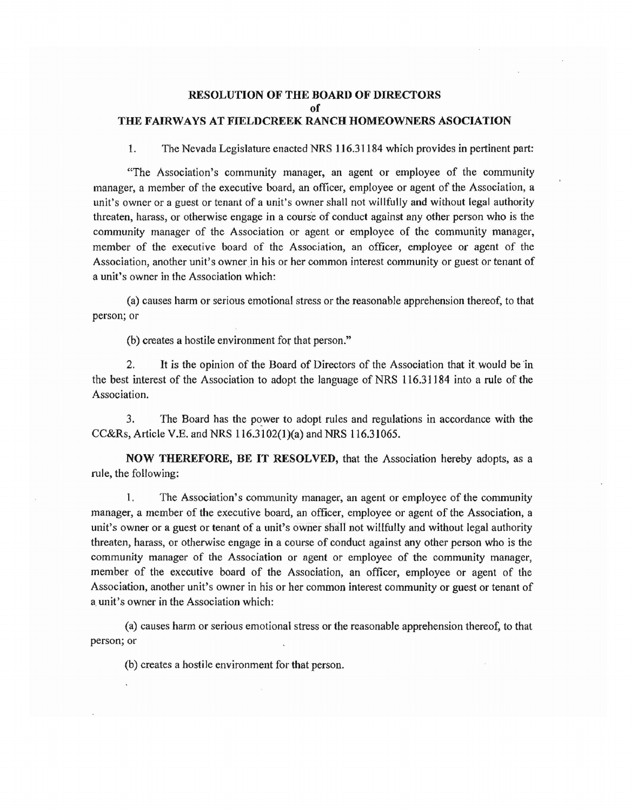## RESOLUTION OF THE BOARD OF DIRECTORS of THE FAIRWAYS AT FIELDCREEK RANCH HOMEOWNERS ASOCIATION

1. The Nevada Legislatme enacted NRS 1J 6.31184 which provides in pertinent part:

"The Association's community manager, an agent or employee of the community manager, a member of the executive board, an officer, employee or agent of the Association, a unit's owner or a guest or tenant of a unit's owner shall not willfully and without legal authority threaten, harass, or otherwise engage in a course of conduct against any other person who is the community manager of the Association or agent or employee of the community manager, member of the executive board of the Association, an officer, employee or agent of the Association, another unit's owner in his or her common interest community or guest or tenant of a unit's owner in the Association which:

(a) causes harm or serious emotional stress or the reasonable apprehension thereof, to that person; or

(b) creates a hostile environment for that person."

2. It is the opinion of the Board of Directors of the Association that itwould be 'in the best interest of the Association to adopt the language of NRS 116.31184 into a rule of the Association.

3. The Board has the power to adopt rules and regulations in accordance with the CC&Rs, Article V.E. and NRS 116.3102(1)(a) and NRS 116.31065.

NOW THEREFORE, BE IT RESOLVED, that the Association hereby adopts, as a rule, the following:

1. The Association's community manager, an agent or employee of the community manager, a member of the executive board, an officer, employee or agent of the Association, a unit's owner or a guest or tenant of a unit's owner shall not willfully and without legal authority threaten, harass, or otherwise engage in a course of conduct against any other person who is the community manager of the Association or agent or employee of the community manager, member of the executive board of the Association, an officer, employee or agent of the Association, another unit's owner in his or her common interest community or guest or tenant of a unit's owner in the Association which:

(a) causes harm or serious emotional stress or the reasonable apprehension thereof, to that person; or

(b) creates a hostile environment for that person.